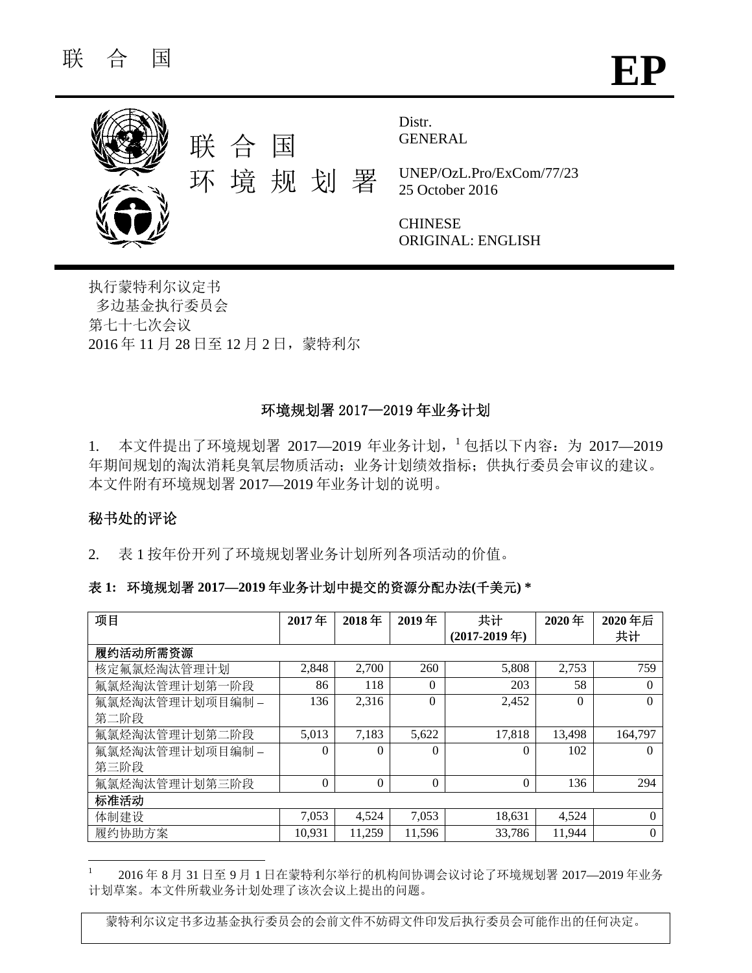

GENERAL

UNEP/OzL.Pro/ExCom/77/23 25 October 2016

**CHINESE** ORIGINAL: ENGLISH

执行蒙特利尔议定书 多边基金执行委员会 第七十七次会议 2016 年 11 月 28 日至 12 月 2 日,蒙特利尔

# 环境规划署 2017—2019 年业务计划

1. 本文件提出了环境规划署 2017—2019 年业务计划, 1包括以下内容: 为 2017—2019 年期间规划的淘汰消耗臭氧层物质活动;业务计划绩效指标;供执行委员会审议的建议。 本文件附有环境规划署 2017—2019 年业务计划的说明。

# 秘书处的评论

 $\overline{a}$ 

2. 表 1 按年份开列了环境规划署业务计划所列各项活动的价值。

### 表 **1:** 环境规划署 **2017—2019** 年业务计划中提交的资源分配办法**(**千美元**) \***

| 项目              | 2017年    | 2018年    | 2019年    | 共计              | 2020年    | 2020年后   |
|-----------------|----------|----------|----------|-----------------|----------|----------|
|                 |          |          |          | $(2017-2019$ 年) |          | 共计       |
| 履约活动所需资源        |          |          |          |                 |          |          |
| 核定氟氯烃淘汰管理计划     | 2,848    | 2,700    | 260      | 5,808           | 2,753    | 759      |
| 氟氯烃淘汰管理计划第一阶段   | 86       | 118      | $\theta$ | 203             | 58       | $\Omega$ |
| 氟氯烃淘汰管理计划项目编制 - | 136      | 2,316    | $\Omega$ | 2,452           | $\Omega$ | $\Omega$ |
| 第二阶段            |          |          |          |                 |          |          |
| 氟氯烃淘汰管理计划第二阶段   | 5,013    | 7,183    | 5,622    | 17,818          | 13,498   | 164,797  |
| 氟氯烃淘汰管理计划项目编制 - | $\Omega$ | $\Omega$ | $\Omega$ | $\Omega$        | 102      | $\Omega$ |
| 第三阶段            |          |          |          |                 |          |          |
| 氟氯烃淘汰管理计划第三阶段   | $\Omega$ | $\Omega$ | $\theta$ | $\Omega$        | 136      | 294      |
| 标准活动            |          |          |          |                 |          |          |
| 体制建设            | 7,053    | 4,524    | 7,053    | 18,631          | 4,524    | $\Omega$ |
| 履约协助方案          | 10,931   | 11,259   | 11,596   | 33,786          | 11,944   | $\theta$ |

1 2016 年 8 月 31 日至 9 月 1 日在蒙特利尔举行的机构间协调会议讨论了环境规划署 2017—2019 年业务 计划草案。本文件所载业务计划处理了该次会议上提出的问题。

蒙特利尔议定书多边基金执行委员会的会前文件不妨碍文件印发后执行委员会可能作出的任何决定。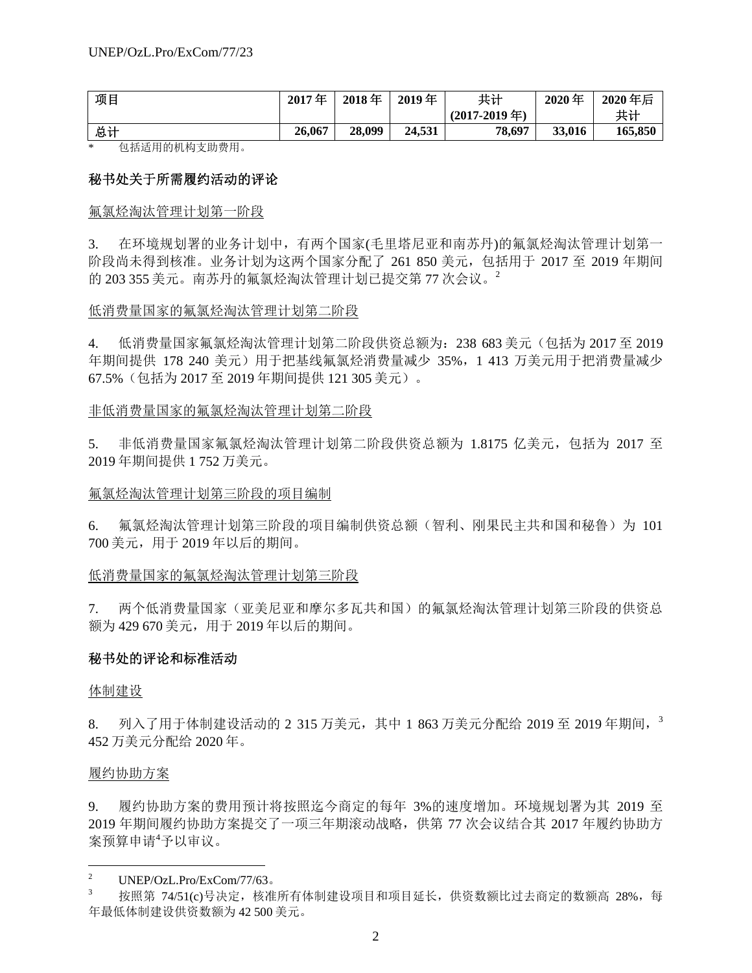| 项目 | 2017年  | 2018年  | 2019年  | 共计     | 2020年  | 2020年后  |
|----|--------|--------|--------|--------|--------|---------|
|    |        |        |        |        |        | 共计      |
| 总计 | 26,067 | 28,099 | 24.531 | 78,697 | 33,016 | 165,850 |

\* 包括适用的机构支助费用。

## 秘书处关于所需履约活动的评论

### 氟氯烃淘汰管理计划第一阶段

3. 在环境规划署的业务计划中,有两个国家(毛里塔尼亚和南苏丹)的氟氯烃淘汰管理计划第一 阶段尚未得到核准。业务计划为这两个国家分配了 261 850 美元,包括用于 2017 至 2019 年期间 的 203 355 美元。南苏丹的氟氯烃淘汰管理计划已提交第 77 次会议。<sup>2</sup>

### 低消费量国家的氟氯烃淘汰管理计划第二阶段

4. 低消费量国家氟氯烃淘汰管理计划第二阶段供资总额为:238 683 美元(包括为 2017 至 2019 年期间提供 178 240 美元)用于把基线氟氯烃消费量减少 35%, 1 413 万美元用于把消费量减少 67.5%(包括为 2017 至 2019 年期间提供 121 305 美元)。

### 非低消费量国家的氟氯烃淘汰管理计划第二阶段

5. 非低消费量国家氟氯烃淘汰管理计划第二阶段供资总额为 1.8175 亿美元,包括为 2017 至 2019 年期间提供 1 752 万美元。

### 氟氯烃淘汰管理计划第三阶段的项目编制

6. 氟氯烃淘汰管理计划第三阶段的项目编制供资总额(智利、刚果民主共和国和秘鲁)为 101 700 美元,用于 2019 年以后的期间。

### 低消费量国家的氟氯烃淘汰管理计划第三阶段

7. 两个低消费量国家(亚美尼亚和摩尔多瓦共和国)的氟氯烃淘汰管理计划第三阶段的供资总 额为 429 670 美元,用于 2019 年以后的期间。

### 秘书处的评论和标准活动

### 体制建设

8. 列入了用于体制建设活动的 2 315 万美元, 其中 1 863 万美元分配给 2019 至 2019 年期间, <sup>3</sup> 452 万美元分配给 2020 年。

### 履约协助方案

-

9. 履约协助方案的费用预计将按照迄今商定的每年 3%的速度增加。环境规划署为其 2019 至 2019 年期间履约协助方案提交了一项三年期滚动战略,供第 77 次会议结合其 2017 年履约协助方 案预算申请4予以审议。

<sup>2</sup> UNEP/OzL.Pro/ExCom/77/63。

<sup>3</sup> 按照第 74/51(c)号决定,核准所有体制建设项目和项目延长,供资数额比过去商定的数额高 28%,每 年最低体制建设供资数额为 42 500 美元。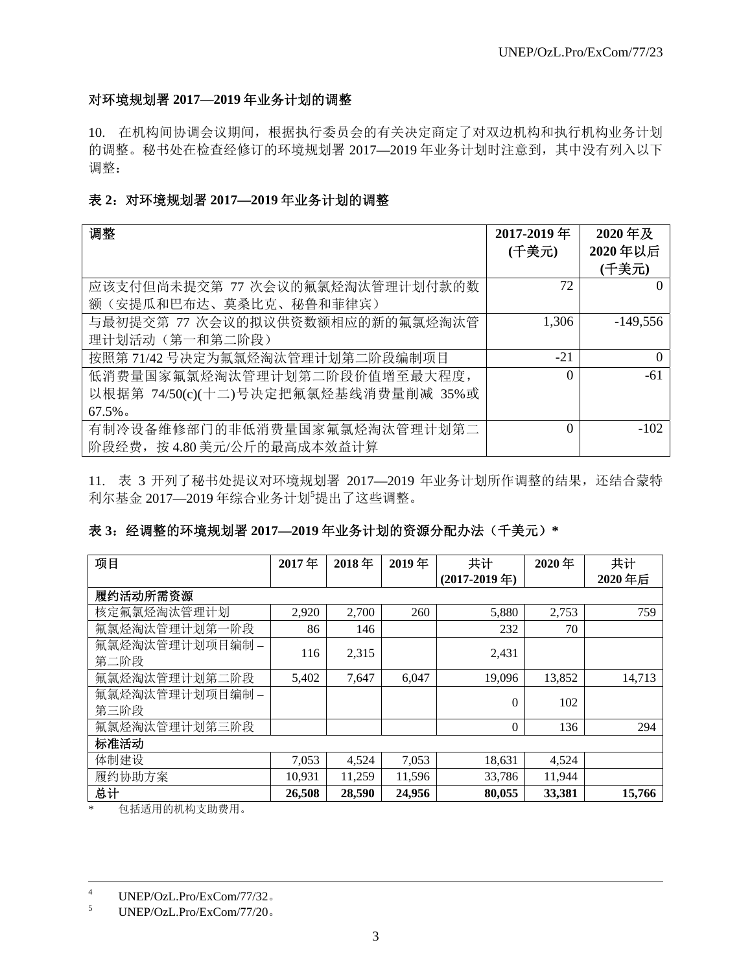# 对环境规划署 **2017—2019** 年业务计划的调整

10. 在机构间协调会议期间,根据执行委员会的有关决定商定了对双边机构和执行机构业务计划 的调整。秘书处在检查经修订的环境规划署 2017—2019 年业务计划时注意到,其中没有列入以下 调整:

# 表 **2**:对环境规划署 **2017—2019** 年业务计划的调整

| 调整                                   | 2017-2019年<br>(千美元) | 2020年及<br>2020年以后 |
|--------------------------------------|---------------------|-------------------|
|                                      |                     | (千美元)             |
| 应该支付但尚未提交第 77 次会议的氟氯烃淘汰管理计划付款的数      | 72                  |                   |
| 额(安提瓜和巴布达、莫桑比克、秘鲁和菲律宾)               |                     |                   |
| 与最初提交第 77 次会议的拟议供资数额相应的新的氟氯烃淘汰管      | 1,306               | $-149,556$        |
| 理计划活动 (第一和第二阶段)                      |                     |                   |
| 按照第71/42号决定为氟氯烃淘汰管理计划第二阶段编制项目        | $-21$               | $\Omega$          |
| 低消费量国家氟氯烃淘汰管理计划第二阶段价值增至最大程度,         | $\Omega$            | -61               |
| 以根据第 74/50(c)(十二)号决定把氟氯烃基线消费量削减 35%或 |                     |                   |
| $67.5\%$                             |                     |                   |
| 有制冷设备维修部门的非低消费量国家氟氯烃淘汰管理计划第二         | $\Omega$            | $-102$            |
| 阶段经费, 按 4.80 美元/公斤的最高成本效益计算          |                     |                   |

11. 表 3 开列了秘书处提议对环境规划署 2017—2019 年业务计划所作调整的结果,还结合蒙特 利尔基金 2017—2019年综合业务计划<sup>5</sup>提出了这些调整。

# 表 **3**:经调整的环境规划署 **2017—2019** 年业务计划的资源分配办法(千美元)**\***

| 项目              | 2017年  | 2018年  | 2019年  | 共计              | 2020年  | 共计     |
|-----------------|--------|--------|--------|-----------------|--------|--------|
|                 |        |        |        | $(2017-2019$ 年) |        | 2020年后 |
| 履约活动所需资源        |        |        |        |                 |        |        |
| 核定氟氯烃淘汰管理计划     | 2,920  | 2,700  | 260    | 5,880           | 2,753  | 759    |
| 氟氯烃淘汰管理计划第一阶段   | 86     | 146    |        | 232             | 70     |        |
| 氟氯烃淘汰管理计划项目编制 - | 116    |        |        |                 |        |        |
| 第二阶段            |        | 2,315  |        | 2,431           |        |        |
| 氟氯烃淘汰管理计划第二阶段   | 5,402  | 7,647  | 6,047  | 19,096          | 13,852 | 14,713 |
| 氟氯烃淘汰管理计划项目编制 - |        |        |        | 0               | 102    |        |
| 第三阶段            |        |        |        |                 |        |        |
| 氟氯烃淘汰管理计划第三阶段   |        |        |        | $\Omega$        | 136    | 294    |
| 标准活动            |        |        |        |                 |        |        |
| 体制建设            | 7,053  | 4,524  | 7,053  | 18,631          | 4,524  |        |
| 履约协助方案          | 10,931 | 11,259 | 11,596 | 33,786          | 11,944 |        |
| 总计              | 26,508 | 28,590 | 24,956 | 80,055          | 33,381 | 15,766 |

\* 包括适用的机构支助费用。

 $\frac{1}{4}$ UNEP/OzL.Pro/ExCom/77/32。

<sup>5</sup> UNEP/OzL.Pro/ExCom/77/20。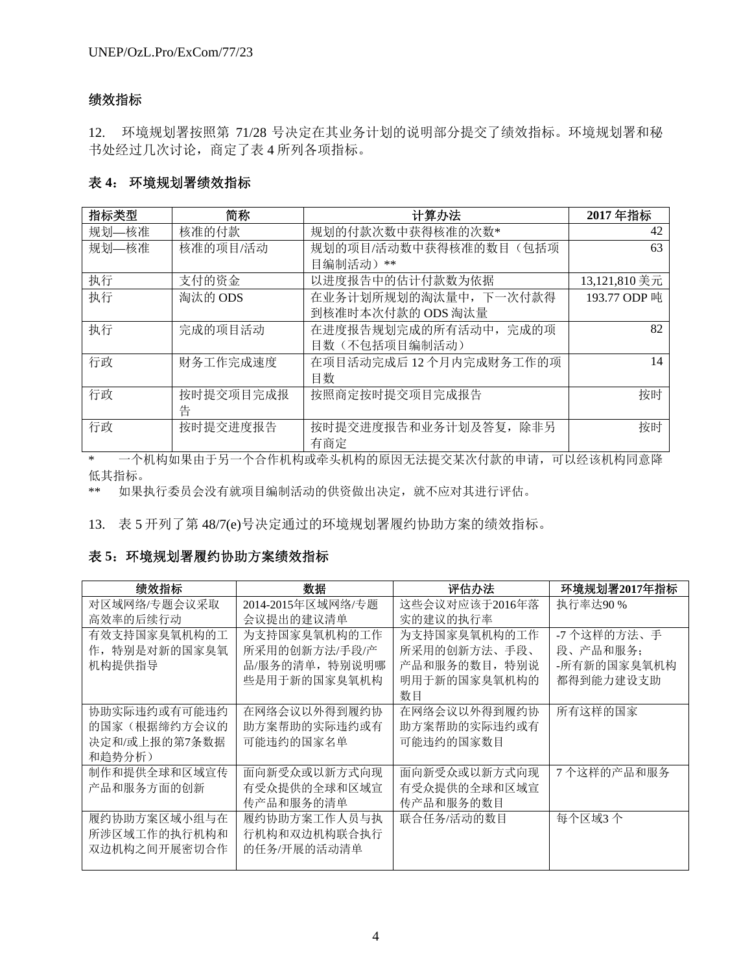# 绩效指标

12. 环境规划署按照第 71/28 号决定在其业务计划的说明部分提交了绩效指标。环境规划署和秘 书处经过几次讨论,商定了表 4 所列各项指标。

## 表 **4**: 环境规划署绩效指标

| 指标类型  | 简称        | 计算办法                    | 2017年指标       |
|-------|-----------|-------------------------|---------------|
| 规划—核准 | 核准的付款     | 规划的付款次数中获得核准的次数*        | 42            |
| 规划—核准 | 核准的项目/活动  | 规划的项目/活动数中获得核准的数目(包括项   | 63            |
|       |           | 目编制活动)**                |               |
| 执行    | 支付的资金     | 以进度报告中的估计付款数为依据         | 13,121,810 美元 |
| 执行    | 淘汰的 ODS   | 在业务计划所规划的淘汰量中, 下一次付款得   | 193.77 ODP 吨  |
|       |           | 到核准时本次付款的 ODS 淘汰量       |               |
| 执行    | 完成的项目活动   | 在进度报告规划完成的所有活动中, 完成的项   | 82            |
|       |           | 目数(不包括项目编制活动)           |               |
| 行政    | 财务工作完成速度  | 在项目活动完成后 12 个月内完成财务工作的项 | 14            |
|       |           | 目数                      |               |
| 行政    | 按时提交项目完成报 | 按照商定按时提交项目完成报告          | 按时            |
|       | 告         |                         |               |
| 行政    | 按时提交进度报告  | 按时提交进度报告和业务计划及答复, 除非另   | 按时            |
|       |           | 有商定                     |               |

\* 一个机构如果由于另一个合作机构或牵头机构的原因无法提交某次付款的申请,可以经该机构同意降 低其指标。

\*\* 如果执行委员会没有就项目编制活动的供资做出决定,就不应对其进行评估。

13. 表 5 开列了第 48/7(e)号决定通过的环境规划署履约协助方案的绩效指标。

# 表 **5**:环境规划署履约协助方案绩效指标

| 绩效指标          | 数据                | 评估办法           | 环境规划署2017年指标 |
|---------------|-------------------|----------------|--------------|
| 对区域网络/专题会议采取  | 2014-2015年区域网络/专题 | 这些会议对应该于2016年落 | 执行率达90%      |
| 高效率的后续行动      | 会议提出的建议清单         | 实的建议的执行率       |              |
| 有效支持国家臭氧机构的工  | 为支持国家臭氧机构的工作      | 为支持国家臭氧机构的工作   | -7 个这样的方法、手  |
| 作, 特别是对新的国家臭氧 | 所采用的创新方法/手段/产     | 所采用的创新方法、手段、   | 段、产品和服务;     |
| 机构提供指导        | 品/服务的清单,特别说明哪     | 产品和服务的数目, 特别说  | -所有新的国家臭氧机构  |
|               | 些是用于新的国家臭氧机构      | 明用于新的国家臭氧机构的   | 都得到能力建设支助    |
|               |                   | 数目             |              |
| 协助实际违约或有可能违约  | 在网络会议以外得到履约协      | 在网络会议以外得到履约协   | 所有这样的国家      |
| 的国家(根据缔约方会议的  | 助方案帮助的实际违约或有      | 助方案帮助的实际违约或有   |              |
| 决定和/或上报的第7条数据 | 可能违约的国家名单         | 可能违约的国家数目      |              |
| 和趋势分析)        |                   |                |              |
| 制作和提供全球和区域宣传  | 面向新受众或以新方式向现      | 面向新受众或以新方式向现   | 7个这样的产品和服务   |
| 产品和服务方面的创新    | 有受众提供的全球和区域宣      | 有受众提供的全球和区域宣   |              |
|               | 传产品和服务的清单         | 传产品和服务的数目      |              |
| 履约协助方案区域小组与在  | 履约协助方案工作人员与执      | 联合任务/活动的数目     | 每个区域3个       |
| 所涉区域工作的执行机构和  | 行机构和双边机构联合执行      |                |              |
| 双边机构之间开展密切合作  | 的任务/开展的活动清单       |                |              |
|               |                   |                |              |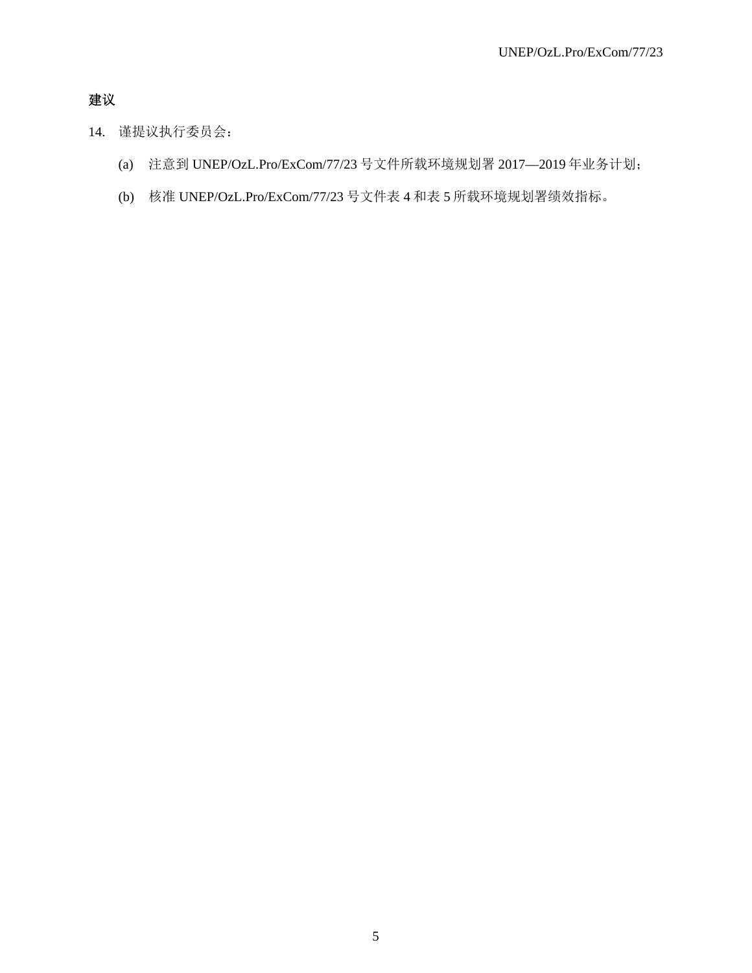# 建议

- 14. 谨提议执行委员会:
	- (a) 注意到 UNEP/OzL.Pro/ExCom/77/23 号文件所载环境规划署 2017—2019 年业务计划;
	- (b) 核准 UNEP/OzL.Pro/ExCom/77/23 号文件表 4 和表 5 所载环境规划署绩效指标。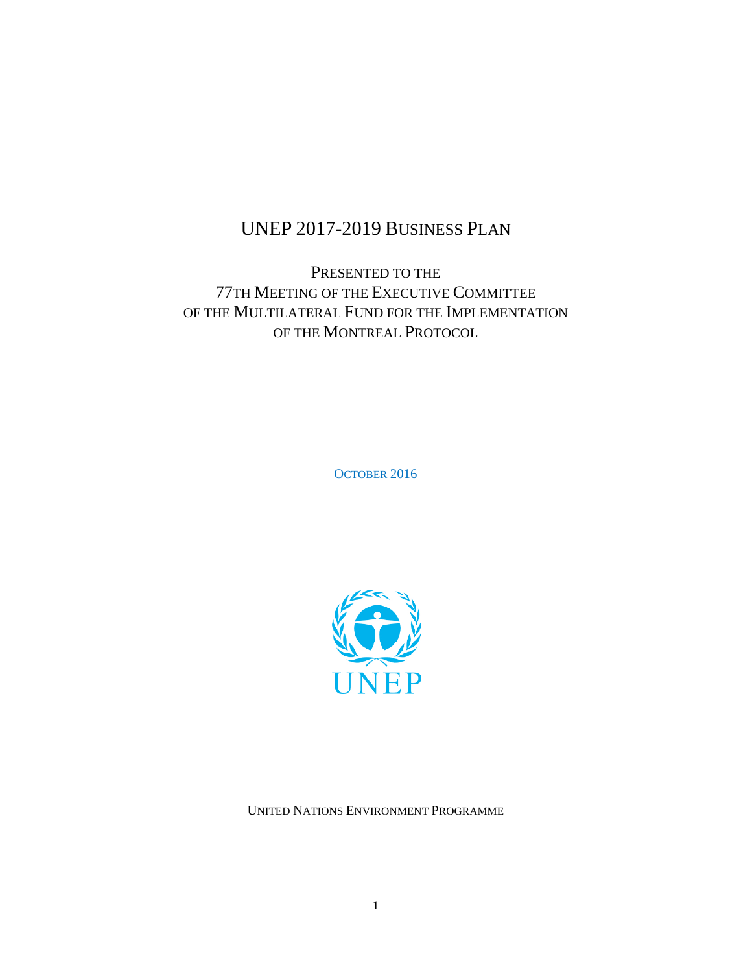# UNEP 2017-2019 BUSINESS PLAN

PRESENTED TO THE 77TH MEETING OF THE EXECUTIVE COMMITTEE OF THE MULTILATERAL FUND FOR THE IMPLEMENTATION OF THE MONTREAL PROTOCOL

OCTOBER 2016



UNITED NATIONS ENVIRONMENT PROGRAMME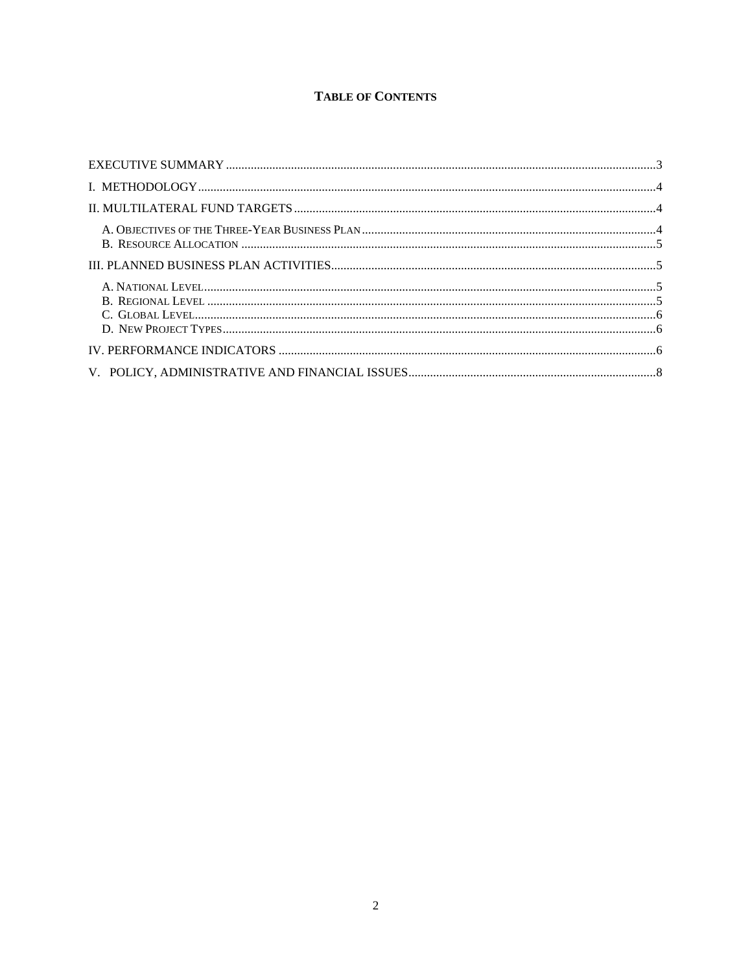# **TABLE OF CONTENTS**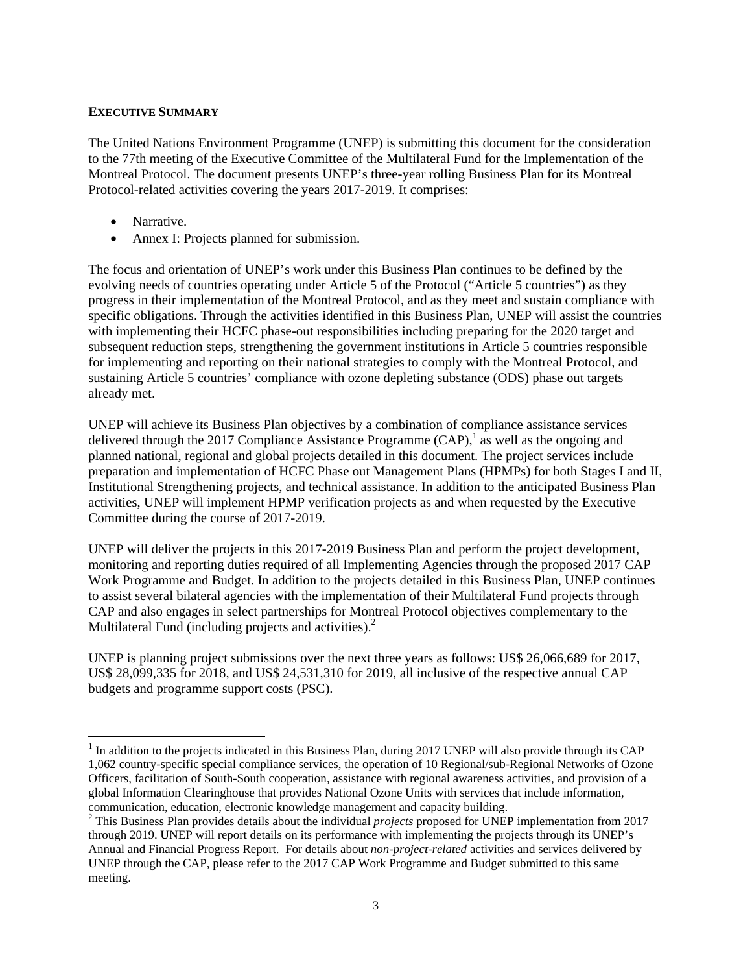### **EXECUTIVE SUMMARY**

The United Nations Environment Programme (UNEP) is submitting this document for the consideration to the 77th meeting of the Executive Committee of the Multilateral Fund for the Implementation of the Montreal Protocol. The document presents UNEP's three-year rolling Business Plan for its Montreal Protocol-related activities covering the years 2017-2019. It comprises:

• Narrative.

• Annex I: Projects planned for submission.

The focus and orientation of UNEP's work under this Business Plan continues to be defined by the evolving needs of countries operating under Article 5 of the Protocol ("Article 5 countries") as they progress in their implementation of the Montreal Protocol, and as they meet and sustain compliance with specific obligations. Through the activities identified in this Business Plan, UNEP will assist the countries with implementing their HCFC phase-out responsibilities including preparing for the 2020 target and subsequent reduction steps, strengthening the government institutions in Article 5 countries responsible for implementing and reporting on their national strategies to comply with the Montreal Protocol, and sustaining Article 5 countries' compliance with ozone depleting substance (ODS) phase out targets already met.

UNEP will achieve its Business Plan objectives by a combination of compliance assistance services delivered through the 2017 Compliance Assistance Programme  $(CAP)$ , as well as the ongoing and planned national, regional and global projects detailed in this document. The project services include preparation and implementation of HCFC Phase out Management Plans (HPMPs) for both Stages I and II, Institutional Strengthening projects, and technical assistance. In addition to the anticipated Business Plan activities, UNEP will implement HPMP verification projects as and when requested by the Executive Committee during the course of 2017-2019.

UNEP will deliver the projects in this 2017-2019 Business Plan and perform the project development, monitoring and reporting duties required of all Implementing Agencies through the proposed 2017 CAP Work Programme and Budget. In addition to the projects detailed in this Business Plan, UNEP continues to assist several bilateral agencies with the implementation of their Multilateral Fund projects through CAP and also engages in select partnerships for Montreal Protocol objectives complementary to the Multilateral Fund (including projects and activities).<sup>2</sup>

UNEP is planning project submissions over the next three years as follows: US\$ 26,066,689 for 2017, US\$ 28,099,335 for 2018, and US\$ 24,531,310 for 2019, all inclusive of the respective annual CAP budgets and programme support costs (PSC).

 $<sup>1</sup>$  In addition to the projects indicated in this Business Plan, during 2017 UNEP will also provide through its CAP</sup> 1,062 country-specific special compliance services, the operation of 10 Regional/sub-Regional Networks of Ozone Officers, facilitation of South-South cooperation, assistance with regional awareness activities, and provision of a global Information Clearinghouse that provides National Ozone Units with services that include information, communication, education, electronic knowledge management and capacity building.

<sup>2</sup> This Business Plan provides details about the individual *projects* proposed for UNEP implementation from 2017 through 2019. UNEP will report details on its performance with implementing the projects through its UNEP's Annual and Financial Progress Report. For details about *non-project-related* activities and services delivered by UNEP through the CAP, please refer to the 2017 CAP Work Programme and Budget submitted to this same meeting.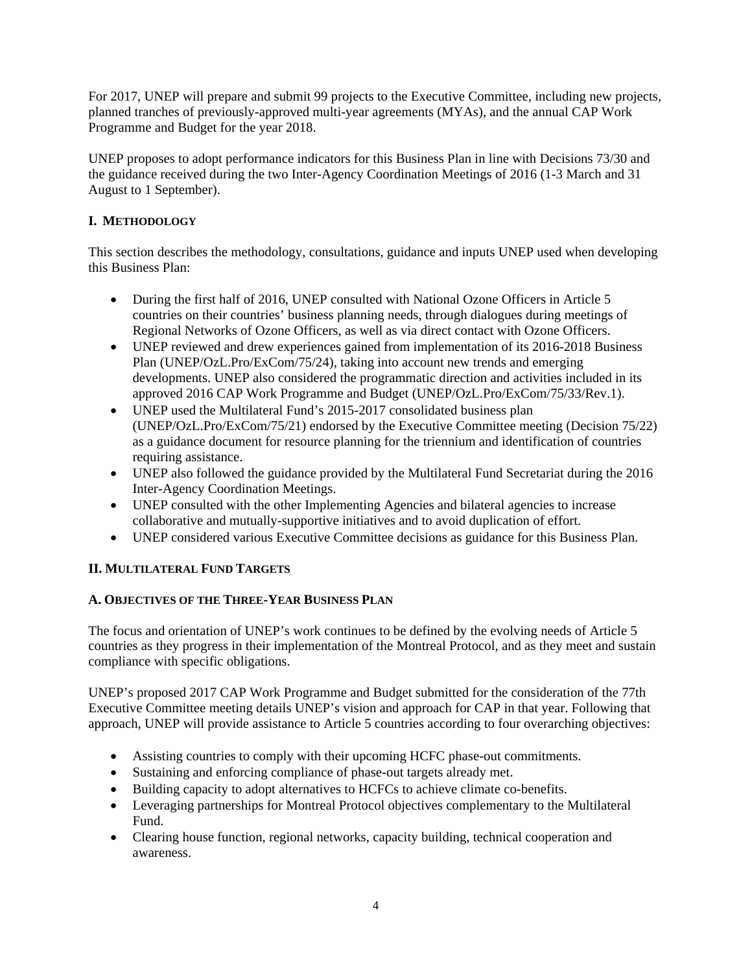For 2017, UNEP will prepare and submit 99 projects to the Executive Committee, including new projects, planned tranches of previously-approved multi-year agreements (MYAs), and the annual CAP Work Programme and Budget for the year 2018.

UNEP proposes to adopt performance indicators for this Business Plan in line with Decisions 73/30 and the guidance received during the two Inter-Agency Coordination Meetings of 2016 (1-3 March and 31 August to 1 September).

# **I. METHODOLOGY**

This section describes the methodology, consultations, guidance and inputs UNEP used when developing this Business Plan:

- During the first half of 2016, UNEP consulted with National Ozone Officers in Article 5 countries on their countries' business planning needs, through dialogues during meetings of Regional Networks of Ozone Officers, as well as via direct contact with Ozone Officers.
- UNEP reviewed and drew experiences gained from implementation of its 2016-2018 Business Plan (UNEP/OzL.Pro/ExCom/75/24), taking into account new trends and emerging developments. UNEP also considered the programmatic direction and activities included in its approved 2016 CAP Work Programme and Budget (UNEP/OzL.Pro/ExCom/75/33/Rev.1).
- UNEP used the Multilateral Fund's 2015-2017 consolidated business plan (UNEP/OzL.Pro/ExCom/75/21) endorsed by the Executive Committee meeting (Decision 75/22) as a guidance document for resource planning for the triennium and identification of countries requiring assistance.
- UNEP also followed the guidance provided by the Multilateral Fund Secretariat during the 2016 Inter-Agency Coordination Meetings.
- UNEP consulted with the other Implementing Agencies and bilateral agencies to increase collaborative and mutually-supportive initiatives and to avoid duplication of effort.
- UNEP considered various Executive Committee decisions as guidance for this Business Plan.

# **II. MULTILATERAL FUND TARGETS**

# **A. OBJECTIVES OF THE THREE-YEAR BUSINESS PLAN**

The focus and orientation of UNEP's work continues to be defined by the evolving needs of Article 5 countries as they progress in their implementation of the Montreal Protocol, and as they meet and sustain compliance with specific obligations.

UNEP's proposed 2017 CAP Work Programme and Budget submitted for the consideration of the 77th Executive Committee meeting details UNEP's vision and approach for CAP in that year. Following that approach, UNEP will provide assistance to Article 5 countries according to four overarching objectives:

- Assisting countries to comply with their upcoming HCFC phase-out commitments.
- Sustaining and enforcing compliance of phase-out targets already met.
- Building capacity to adopt alternatives to HCFCs to achieve climate co-benefits.
- Leveraging partnerships for Montreal Protocol objectives complementary to the Multilateral Fund.
- Clearing house function, regional networks, capacity building, technical cooperation and awareness.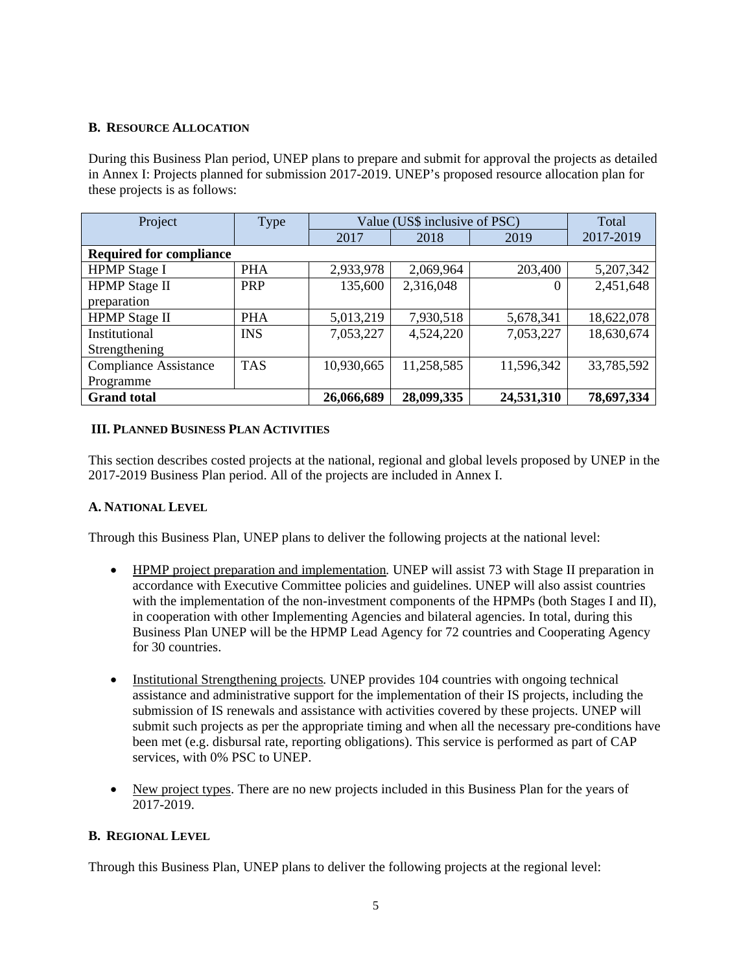### **B. RESOURCE ALLOCATION**

During this Business Plan period, UNEP plans to prepare and submit for approval the projects as detailed in Annex I: Projects planned for submission 2017-2019. UNEP's proposed resource allocation plan for these projects is as follows:

| Project                        | Type       | Value (US\$ inclusive of PSC) |            |            | Total      |
|--------------------------------|------------|-------------------------------|------------|------------|------------|
|                                |            | 2017                          | 2018       | 2019       | 2017-2019  |
| <b>Required for compliance</b> |            |                               |            |            |            |
| <b>HPMP</b> Stage I            | <b>PHA</b> | 2,933,978                     | 2,069,964  | 203,400    | 5,207,342  |
| <b>HPMP</b> Stage II           | <b>PRP</b> | 135,600                       | 2,316,048  | 0          | 2,451,648  |
| preparation                    |            |                               |            |            |            |
| <b>HPMP</b> Stage II           | <b>PHA</b> | 5,013,219                     | 7,930,518  | 5,678,341  | 18,622,078 |
| Institutional                  | <b>INS</b> | 7,053,227                     | 4,524,220  | 7,053,227  | 18,630,674 |
| Strengthening                  |            |                               |            |            |            |
| <b>Compliance Assistance</b>   | <b>TAS</b> | 10,930,665                    | 11,258,585 | 11,596,342 | 33,785,592 |
| Programme                      |            |                               |            |            |            |
| <b>Grand</b> total             |            | 26,066,689                    | 28,099,335 | 24,531,310 | 78,697,334 |

### **III. PLANNED BUSINESS PLAN ACTIVITIES**

This section describes costed projects at the national, regional and global levels proposed by UNEP in the 2017-2019 Business Plan period. All of the projects are included in Annex I.

# **A. NATIONAL LEVEL**

Through this Business Plan, UNEP plans to deliver the following projects at the national level:

- HPMP project preparation and implementation*.* UNEP will assist 73 with Stage II preparation in accordance with Executive Committee policies and guidelines. UNEP will also assist countries with the implementation of the non-investment components of the HPMPs (both Stages I and II), in cooperation with other Implementing Agencies and bilateral agencies. In total, during this Business Plan UNEP will be the HPMP Lead Agency for 72 countries and Cooperating Agency for 30 countries.
- Institutional Strengthening projects*.* UNEP provides 104 countries with ongoing technical assistance and administrative support for the implementation of their IS projects, including the submission of IS renewals and assistance with activities covered by these projects. UNEP will submit such projects as per the appropriate timing and when all the necessary pre-conditions have been met (e.g. disbursal rate, reporting obligations). This service is performed as part of CAP services, with 0% PSC to UNEP.
- New project types. There are no new projects included in this Business Plan for the years of 2017-2019.

### **B. REGIONAL LEVEL**

Through this Business Plan, UNEP plans to deliver the following projects at the regional level: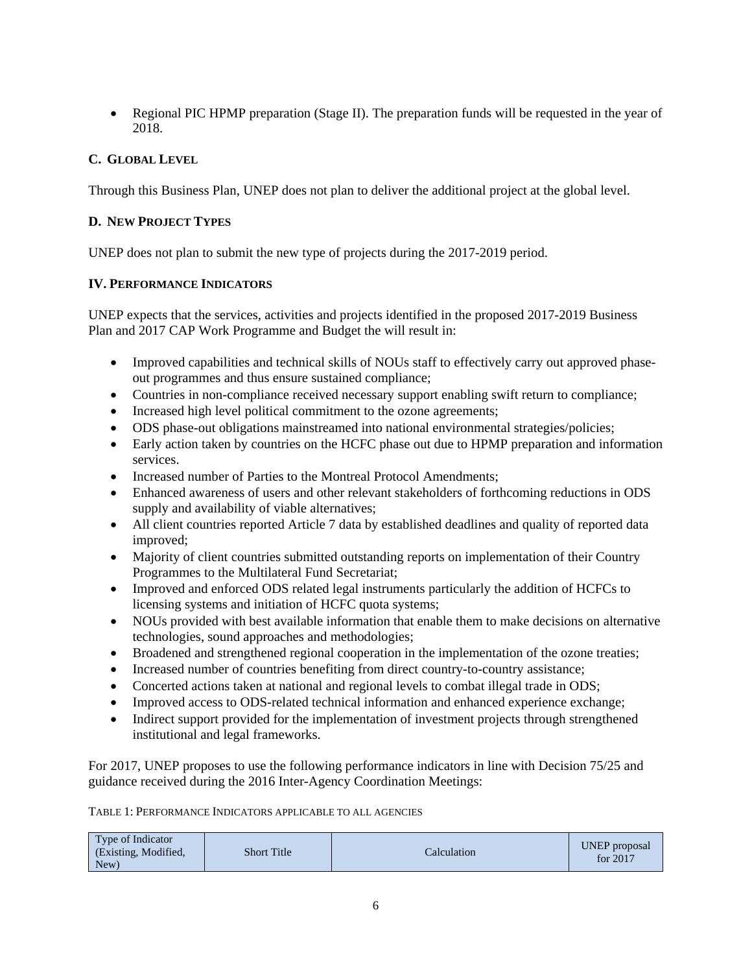• Regional PIC HPMP preparation (Stage II). The preparation funds will be requested in the year of 2018.

# **C. GLOBAL LEVEL**

Through this Business Plan, UNEP does not plan to deliver the additional project at the global level.

### **D. NEW PROJECT TYPES**

UNEP does not plan to submit the new type of projects during the 2017-2019 period.

### **IV. PERFORMANCE INDICATORS**

UNEP expects that the services, activities and projects identified in the proposed 2017-2019 Business Plan and 2017 CAP Work Programme and Budget the will result in:

- Improved capabilities and technical skills of NOUs staff to effectively carry out approved phaseout programmes and thus ensure sustained compliance;
- Countries in non-compliance received necessary support enabling swift return to compliance;
- Increased high level political commitment to the ozone agreements;
- ODS phase-out obligations mainstreamed into national environmental strategies/policies;
- Early action taken by countries on the HCFC phase out due to HPMP preparation and information services.
- Increased number of Parties to the Montreal Protocol Amendments;
- Enhanced awareness of users and other relevant stakeholders of forthcoming reductions in ODS supply and availability of viable alternatives;
- All client countries reported Article 7 data by established deadlines and quality of reported data improved;
- Majority of client countries submitted outstanding reports on implementation of their Country Programmes to the Multilateral Fund Secretariat;
- Improved and enforced ODS related legal instruments particularly the addition of HCFCs to licensing systems and initiation of HCFC quota systems;
- NOUs provided with best available information that enable them to make decisions on alternative technologies, sound approaches and methodologies;
- Broadened and strengthened regional cooperation in the implementation of the ozone treaties;
- Increased number of countries benefiting from direct country-to-country assistance;
- Concerted actions taken at national and regional levels to combat illegal trade in ODS;
- Improved access to ODS-related technical information and enhanced experience exchange;
- Indirect support provided for the implementation of investment projects through strengthened institutional and legal frameworks.

For 2017, UNEP proposes to use the following performance indicators in line with Decision 75/25 and guidance received during the 2016 Inter-Agency Coordination Meetings:

TABLE 1: PERFORMANCE INDICATORS APPLICABLE TO ALL AGENCIES

| Type of Indicator<br>(Existing, Modified,<br><b>Short Title</b><br>New) | Calculation | <b>UNEP</b> proposal<br>for 2017 |
|-------------------------------------------------------------------------|-------------|----------------------------------|
|-------------------------------------------------------------------------|-------------|----------------------------------|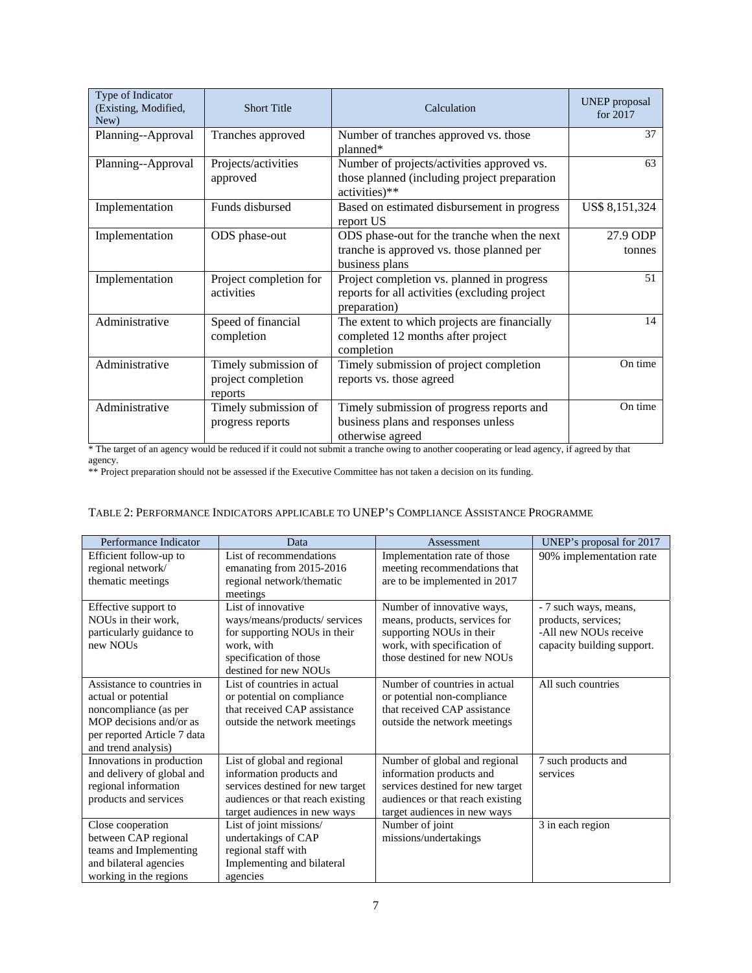| Type of Indicator<br>(Existing, Modified,<br>New) | <b>Short Title</b>                                        | Calculation                                                                                                 | <b>UNEP</b> proposal<br>for 2017 |
|---------------------------------------------------|-----------------------------------------------------------|-------------------------------------------------------------------------------------------------------------|----------------------------------|
| Planning--Approval                                | Tranches approved                                         | Number of tranches approved vs. those<br>planned*                                                           | 37                               |
| Planning--Approval                                | Projects/activities<br>approved                           | Number of projects/activities approved vs.<br>those planned (including project preparation<br>activities)** | 63                               |
| Implementation                                    | Funds disbursed                                           | Based on estimated disbursement in progress<br>report US                                                    | US\$ 8,151,324                   |
| Implementation                                    | ODS phase-out                                             | ODS phase-out for the tranche when the next<br>tranche is approved vs. those planned per<br>business plans  | 27.9 ODP<br>tonnes               |
| Implementation                                    | Project completion for<br>activities                      | Project completion vs. planned in progress<br>reports for all activities (excluding project<br>preparation) | 51                               |
| Administrative                                    | Speed of financial<br>completion                          | The extent to which projects are financially<br>completed 12 months after project<br>completion             | 14                               |
| Administrative                                    | Timely submission of<br>project completion<br>reports     | Timely submission of project completion<br>reports vs. those agreed                                         | On time                          |
| Administrative                                    | Timely submission of<br>progress reports<br>$\cdot \cdot$ | Timely submission of progress reports and<br>business plans and responses unless<br>otherwise agreed        | On time                          |

\* The target of an agency would be reduced if it could not submit a tranche owing to another cooperating or lead agency, if agreed by that agency.

\*\* Project preparation should not be assessed if the Executive Committee has not taken a decision on its funding.

#### TABLE 2: PERFORMANCE INDICATORS APPLICABLE TO UNEP'S COMPLIANCE ASSISTANCE PROGRAMME

| Performance Indicator                                                                                                                                       | Data                                                                                                                                                             | Assessment                                                                                                                                                        | UNEP's proposal for 2017                                                                            |
|-------------------------------------------------------------------------------------------------------------------------------------------------------------|------------------------------------------------------------------------------------------------------------------------------------------------------------------|-------------------------------------------------------------------------------------------------------------------------------------------------------------------|-----------------------------------------------------------------------------------------------------|
| Efficient follow-up to                                                                                                                                      | List of recommendations                                                                                                                                          | Implementation rate of those                                                                                                                                      | 90% implementation rate                                                                             |
| regional network/<br>thematic meetings                                                                                                                      | emanating from 2015-2016<br>regional network/thematic                                                                                                            | meeting recommendations that<br>are to be implemented in 2017                                                                                                     |                                                                                                     |
| Effective support to<br>NOUs in their work,<br>particularly guidance to<br>new NOUs                                                                         | meetings<br>List of innovative<br>ways/means/products/ services<br>for supporting NOUs in their<br>work, with<br>specification of those<br>destined for new NOUs | Number of innovative ways,<br>means, products, services for<br>supporting NOUs in their<br>work, with specification of<br>those destined for new NOUs             | - 7 such ways, means,<br>products, services;<br>-All new NOUs receive<br>capacity building support. |
| Assistance to countries in<br>actual or potential<br>noncompliance (as per<br>MOP decisions and/or as<br>per reported Article 7 data<br>and trend analysis) | List of countries in actual<br>or potential on compliance<br>that received CAP assistance<br>outside the network meetings                                        | Number of countries in actual<br>or potential non-compliance<br>that received CAP assistance<br>outside the network meetings                                      | All such countries                                                                                  |
| Innovations in production<br>and delivery of global and<br>regional information<br>products and services                                                    | List of global and regional<br>information products and<br>services destined for new target<br>audiences or that reach existing<br>target audiences in new ways  | Number of global and regional<br>information products and<br>services destined for new target<br>audiences or that reach existing<br>target audiences in new ways | 7 such products and<br>services                                                                     |
| Close cooperation<br>between CAP regional<br>teams and Implementing<br>and bilateral agencies<br>working in the regions                                     | List of joint missions/<br>undertakings of CAP<br>regional staff with<br>Implementing and bilateral<br>agencies                                                  | Number of joint<br>missions/undertakings                                                                                                                          | 3 in each region                                                                                    |